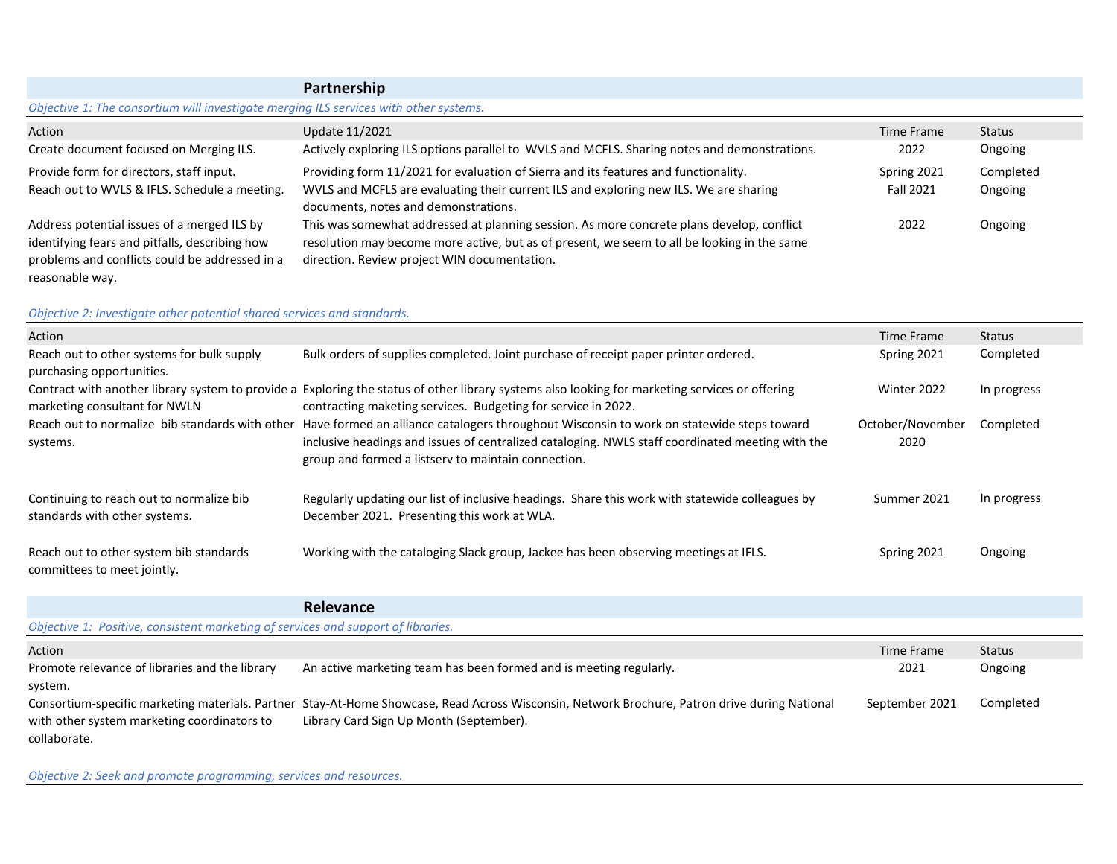|                                                                                       | Partnership                                                                                  |                   |           |
|---------------------------------------------------------------------------------------|----------------------------------------------------------------------------------------------|-------------------|-----------|
| Objective 1: The consortium will investigate merging ILS services with other systems. |                                                                                              |                   |           |
| Action                                                                                | Update 11/2021                                                                               | <b>Time Frame</b> | Status    |
| Create document focused on Merging ILS.                                               | Actively exploring ILS options parallel to WVLS and MCFLS. Sharing notes and demonstrations. | 2022              | Ongoing   |
| Provide form for directors, staff input.                                              | Providing form 11/2021 for evaluation of Sierra and its features and functionality.          | Spring 2021       | Completed |
| Reach out to WVLS & IFLS. Schedule a meeting.                                         | WVLS and MCFLS are evaluating their current ILS and exploring new ILS. We are sharing        | Fall 2021         | Ongoing   |
|                                                                                       | documents, notes and demonstrations.                                                         |                   |           |
| Address potential issues of a merged ILS by                                           | This was somewhat addressed at planning session. As more concrete plans develop, conflict    | 2022              | Ongoing   |
| identifying fears and pitfalls, describing how                                        | resolution may become more active, but as of present, we seem to all be looking in the same  |                   |           |
| problems and conflicts could be addressed in a                                        | direction. Review project WIN documentation.                                                 |                   |           |

T.

## *Objective 2: Investigate other potential shared services and standards.*

reasonable way.

| Action                                                                    |                                                                                                                                                                                                                                                                                                      | Time Frame               | Status      |
|---------------------------------------------------------------------------|------------------------------------------------------------------------------------------------------------------------------------------------------------------------------------------------------------------------------------------------------------------------------------------------------|--------------------------|-------------|
| Reach out to other systems for bulk supply<br>purchasing opportunities.   | Bulk orders of supplies completed. Joint purchase of receipt paper printer ordered.                                                                                                                                                                                                                  | Spring 2021              | Completed   |
| marketing consultant for NWLN                                             | Contract with another library system to provide a Exploring the status of other library systems also looking for marketing services or offering<br>contracting maketing services. Budgeting for service in 2022.                                                                                     | Winter 2022              | In progress |
| systems.                                                                  | Reach out to normalize bib standards with other Have formed an alliance catalogers throughout Wisconsin to work on statewide steps toward<br>inclusive headings and issues of centralized cataloging. NWLS staff coordinated meeting with the<br>group and formed a listserv to maintain connection. | October/November<br>2020 | Completed   |
| Continuing to reach out to normalize bib<br>standards with other systems. | Regularly updating our list of inclusive headings. Share this work with statewide colleagues by<br>December 2021. Presenting this work at WLA.                                                                                                                                                       | Summer 2021              | In progress |
| Reach out to other system bib standards<br>committees to meet jointly.    | Working with the cataloging Slack group, Jackee has been observing meetings at IFLS.                                                                                                                                                                                                                 | Spring 2021              | Ongoing     |

|                                                                                   | <b>Relevance</b>                                                                                                                                                                         |                |               |
|-----------------------------------------------------------------------------------|------------------------------------------------------------------------------------------------------------------------------------------------------------------------------------------|----------------|---------------|
| Objective 1: Positive, consistent marketing of services and support of libraries. |                                                                                                                                                                                          |                |               |
| Action                                                                            |                                                                                                                                                                                          | Time Frame     | <b>Status</b> |
| Promote relevance of libraries and the library<br>system.                         | An active marketing team has been formed and is meeting regularly.                                                                                                                       | 2021           | Ongoing       |
| with other system marketing coordinators to<br>collaborate.                       | Consortium-specific marketing materials. Partner Stay-At-Home Showcase, Read Across Wisconsin, Network Brochure, Patron drive during National<br>Library Card Sign Up Month (September). | September 2021 | Completed     |

*Objective 2: Seek and promote programming, services and resources.*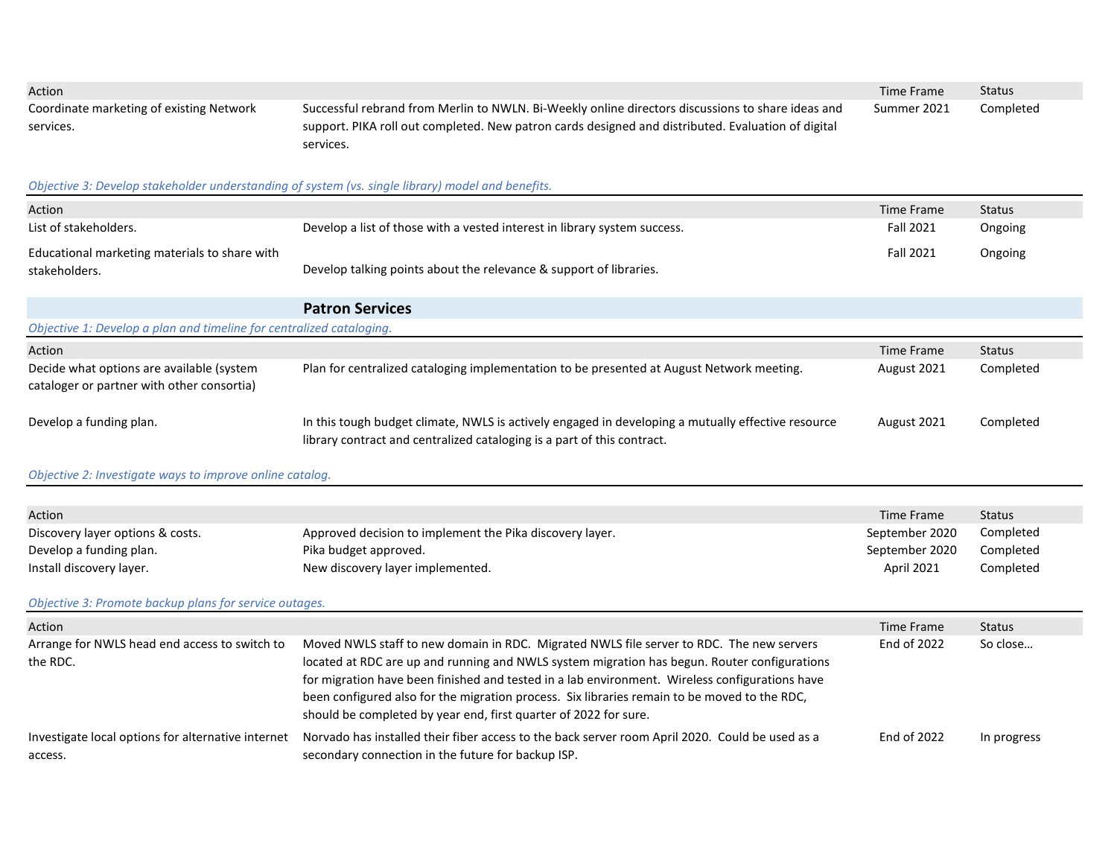| Action<br>Coordinate marketing of existing Network<br>services.<br>Objective 3: Develop stakeholder understanding of system (vs. single library) model and benefits.<br>Action | Successful rebrand from Merlin to NWLN. Bi-Weekly online directors discussions to share ideas and<br>support. PIKA roll out completed. New patron cards designed and distributed. Evaluation of digital<br>services.                                                                                                                                                                                                                                           | Time Frame<br>Summer 2021<br>Time Frame | <b>Status</b><br>Completed<br><b>Status</b> |  |  |
|--------------------------------------------------------------------------------------------------------------------------------------------------------------------------------|----------------------------------------------------------------------------------------------------------------------------------------------------------------------------------------------------------------------------------------------------------------------------------------------------------------------------------------------------------------------------------------------------------------------------------------------------------------|-----------------------------------------|---------------------------------------------|--|--|
| List of stakeholders.                                                                                                                                                          | Develop a list of those with a vested interest in library system success.                                                                                                                                                                                                                                                                                                                                                                                      | Fall 2021                               | Ongoing                                     |  |  |
| Educational marketing materials to share with<br>stakeholders.                                                                                                                 | Develop talking points about the relevance & support of libraries.                                                                                                                                                                                                                                                                                                                                                                                             | <b>Fall 2021</b>                        | Ongoing                                     |  |  |
|                                                                                                                                                                                | <b>Patron Services</b>                                                                                                                                                                                                                                                                                                                                                                                                                                         |                                         |                                             |  |  |
| Objective 1: Develop a plan and timeline for centralized cataloging.                                                                                                           |                                                                                                                                                                                                                                                                                                                                                                                                                                                                |                                         |                                             |  |  |
| Action<br>Decide what options are available (system<br>cataloger or partner with other consortia)                                                                              | Plan for centralized cataloging implementation to be presented at August Network meeting.                                                                                                                                                                                                                                                                                                                                                                      | Time Frame<br>August 2021               | <b>Status</b><br>Completed                  |  |  |
| Develop a funding plan.                                                                                                                                                        | In this tough budget climate, NWLS is actively engaged in developing a mutually effective resource<br>library contract and centralized cataloging is a part of this contract.                                                                                                                                                                                                                                                                                  | August 2021                             | Completed                                   |  |  |
| Objective 2: Investigate ways to improve online catalog.                                                                                                                       |                                                                                                                                                                                                                                                                                                                                                                                                                                                                |                                         |                                             |  |  |
|                                                                                                                                                                                |                                                                                                                                                                                                                                                                                                                                                                                                                                                                |                                         |                                             |  |  |
| Action<br>Discovery layer options & costs.                                                                                                                                     | Approved decision to implement the Pika discovery layer.                                                                                                                                                                                                                                                                                                                                                                                                       | <b>Time Frame</b><br>September 2020     | <b>Status</b><br>Completed                  |  |  |
| Develop a funding plan.                                                                                                                                                        | Pika budget approved.                                                                                                                                                                                                                                                                                                                                                                                                                                          | September 2020                          | Completed                                   |  |  |
| Install discovery layer.                                                                                                                                                       | New discovery layer implemented.                                                                                                                                                                                                                                                                                                                                                                                                                               | April 2021                              | Completed                                   |  |  |
| Objective 3: Promote backup plans for service outages.                                                                                                                         |                                                                                                                                                                                                                                                                                                                                                                                                                                                                |                                         |                                             |  |  |
| Action                                                                                                                                                                         |                                                                                                                                                                                                                                                                                                                                                                                                                                                                | Time Frame                              | <b>Status</b>                               |  |  |
| Arrange for NWLS head end access to switch to<br>the RDC.                                                                                                                      | Moved NWLS staff to new domain in RDC. Migrated NWLS file server to RDC. The new servers<br>located at RDC are up and running and NWLS system migration has begun. Router configurations<br>for migration have been finished and tested in a lab environment. Wireless configurations have<br>been configured also for the migration process. Six libraries remain to be moved to the RDC,<br>should be completed by year end, first quarter of 2022 for sure. | End of 2022                             | So close                                    |  |  |
| Investigate local options for alternative internet<br>access.                                                                                                                  | Norvado has installed their fiber access to the back server room April 2020. Could be used as a<br>secondary connection in the future for backup ISP.                                                                                                                                                                                                                                                                                                          | End of 2022                             | In progress                                 |  |  |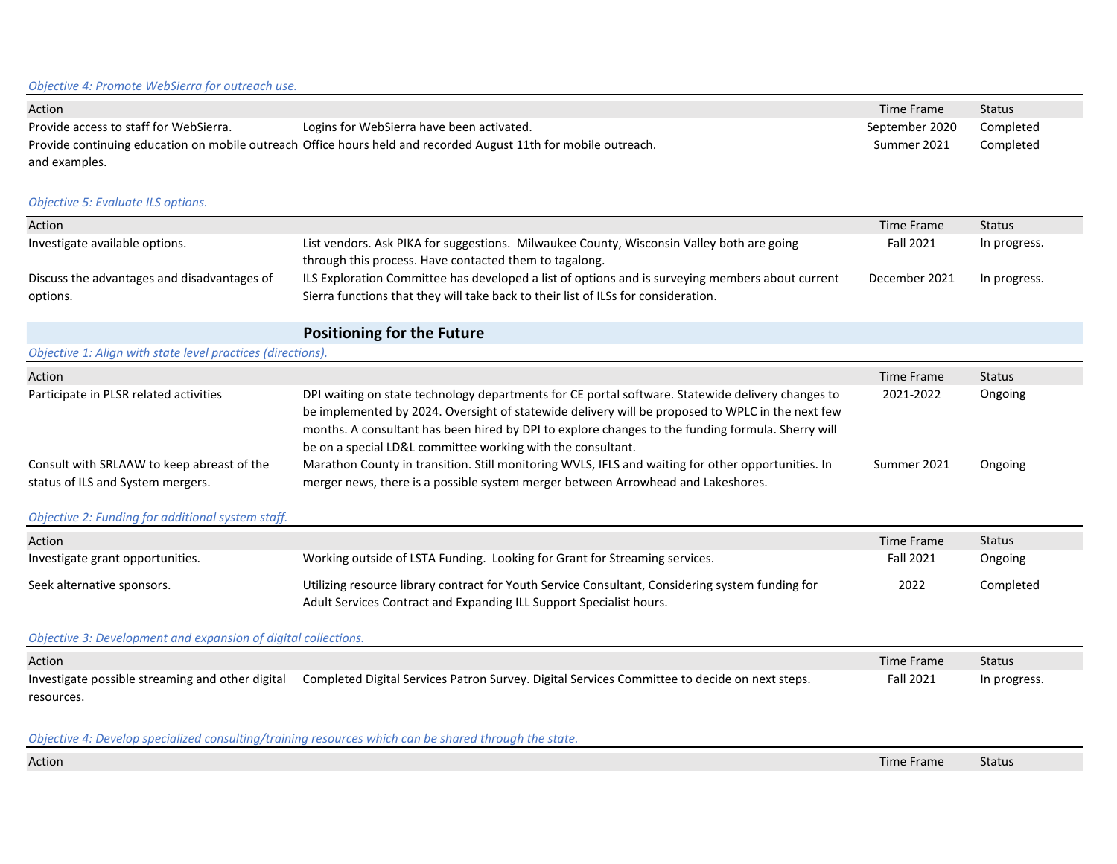| Action                                                                                                                           |                                                                                                                                                     | Time Frame       | <b>Status</b> |
|----------------------------------------------------------------------------------------------------------------------------------|-----------------------------------------------------------------------------------------------------------------------------------------------------|------------------|---------------|
| Provide access to staff for WebSierra.                                                                                           | Logins for WebSierra have been activated.                                                                                                           | September 2020   | Completed     |
| Provide continuing education on mobile outreach Office hours held and recorded August 11th for mobile outreach.<br>and examples. |                                                                                                                                                     | Summer 2021      | Completed     |
| Objective 5: Evaluate ILS options.                                                                                               |                                                                                                                                                     |                  |               |
| Action                                                                                                                           |                                                                                                                                                     | Time Frame       | Status        |
| Investigate available options.                                                                                                   | List vendors. Ask PIKA for suggestions. Milwaukee County, Wisconsin Valley both are going<br>through this process. Have contacted them to tagalong. | <b>Fall 2021</b> | In progress.  |
| Discuss the advantages and disadvantages of                                                                                      | ILS Exploration Committee has developed a list of options and is surveying members about current                                                    | December 2021    | In progress.  |
| options.                                                                                                                         | Sierra functions that they will take back to their list of ILSs for consideration.                                                                  |                  |               |
|                                                                                                                                  | <b>Positioning for the Future</b>                                                                                                                   |                  |               |
| Objective 1: Align with state level practices (directions).                                                                      |                                                                                                                                                     |                  |               |

| Action                                                                          |                                                                                                                                                                                                                                                                                                                                                                           | Time Frame  | Status  |
|---------------------------------------------------------------------------------|---------------------------------------------------------------------------------------------------------------------------------------------------------------------------------------------------------------------------------------------------------------------------------------------------------------------------------------------------------------------------|-------------|---------|
| Participate in PLSR related activities                                          | DPI waiting on state technology departments for CE portal software. Statewide delivery changes to<br>be implemented by 2024. Oversight of statewide delivery will be proposed to WPLC in the next few<br>months. A consultant has been hired by DPI to explore changes to the funding formula. Sherry will<br>be on a special LD&L committee working with the consultant. | 2021-2022   | Ongoing |
| Consult with SRLAAW to keep abreast of the<br>status of ILS and System mergers. | Marathon County in transition. Still monitoring WVLS, IFLS and waiting for other opportunities. In<br>merger news, there is a possible system merger between Arrowhead and Lakeshores.                                                                                                                                                                                    | Summer 2021 | Ongoing |

## *Objective 2: Funding for additional system staff.*

| Action                           |                                                                                                                                                                         | Time Frame       | <b>Status</b> |
|----------------------------------|-------------------------------------------------------------------------------------------------------------------------------------------------------------------------|------------------|---------------|
| Investigate grant opportunities. | Working outside of LSTA Funding. Looking for Grant for Streaming services.                                                                                              | <b>Fall 2021</b> | Ongoing       |
| Seek alternative sponsors.       | Utilizing resource library contract for Youth Service Consultant, Considering system funding for<br>Adult Services Contract and Expanding ILL Support Specialist hours. | 2022             | Completed     |

*Objective 3: Development and expansion of digital collections.*

| Action                                           |                                                                                               | Time Frame       | Status       |
|--------------------------------------------------|-----------------------------------------------------------------------------------------------|------------------|--------------|
| Investigate possible streaming and other digital | Completed Digital Services Patron Survey. Digital Services Committee to decide on next steps. | <b>Fall 2021</b> | In progress. |
| resources.                                       |                                                                                               |                  |              |

## *Objective 4: Develop specialized consulting/training resources which can be shared through the state.*